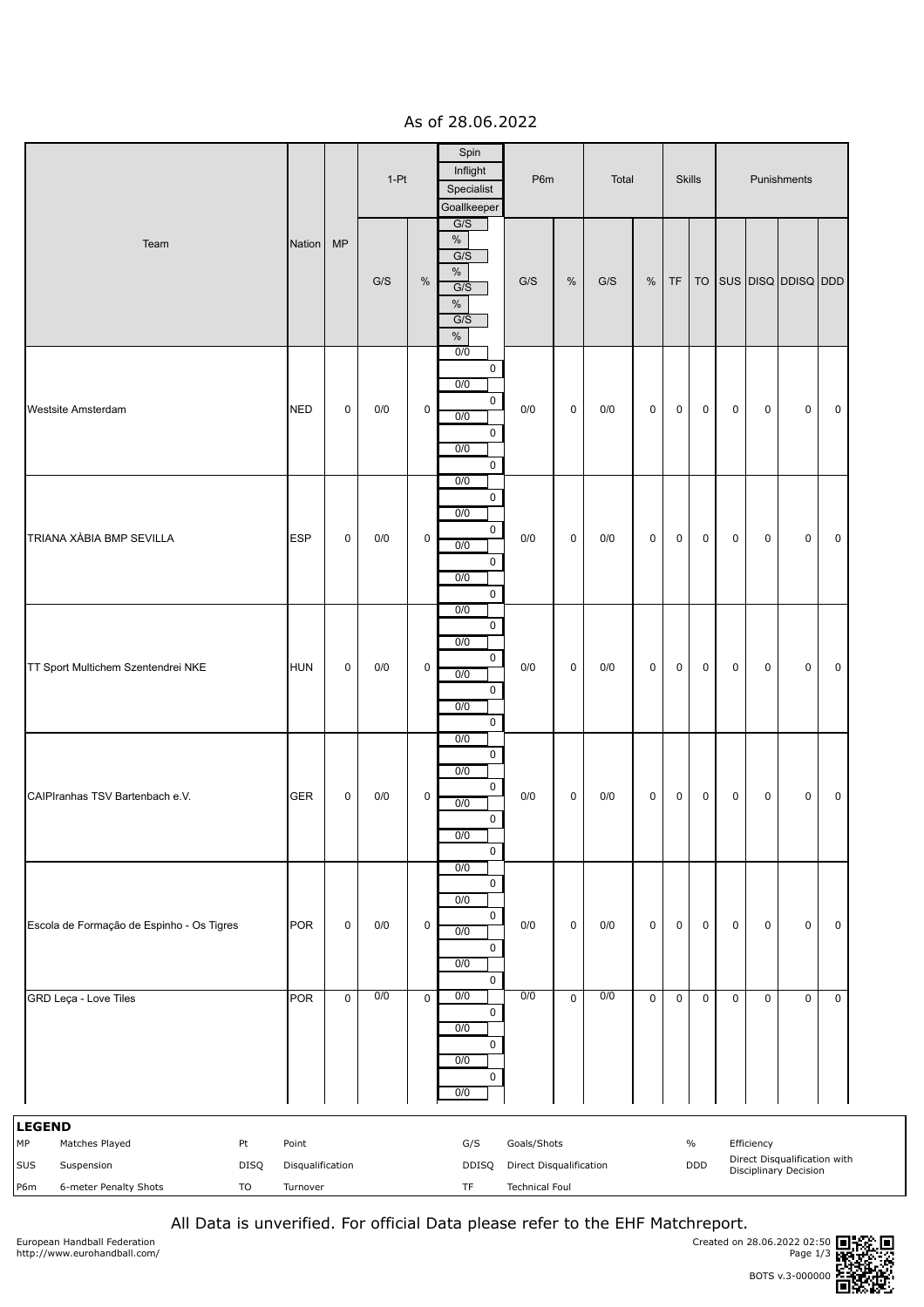As of 28.06.2022

|                                                                                                                       |                                       |             | $1-Pt$ |                     | Spin<br>Inflight<br>Specialist<br>Goallkeeper                                                         |                                                                        | P6m         |     | Total     |             | <b>Skills</b>      |             | Punishments |                                                              |             |  |
|-----------------------------------------------------------------------------------------------------------------------|---------------------------------------|-------------|--------|---------------------|-------------------------------------------------------------------------------------------------------|------------------------------------------------------------------------|-------------|-----|-----------|-------------|--------------------|-------------|-------------|--------------------------------------------------------------|-------------|--|
| Team                                                                                                                  | Nation                                | <b>MP</b>   | G/S    | $\%$                | G/S<br>$\%$<br>G/S<br>$\%$<br>G/S<br>$\%$<br>G/S<br>$\%$                                              | G/S                                                                    | $\%$        | G/S | $\%$      | <b>TF</b>   | <b>TO</b>          |             |             | SUS DISQ DDISQ DDD                                           |             |  |
| Westsite Amsterdam                                                                                                    | <b>NED</b>                            | $\mathbf 0$ | 0/0    | $\mathsf{O}\xspace$ | 0/0<br>0<br>0/0<br>$\mathbf 0$<br>0/0<br>$\mathsf{O}$<br>0/0<br>$\mathsf{O}\xspace$                   | 0/0                                                                    | $\mathbf 0$ | 0/0 | 0         | $\mathbf 0$ | $\mathsf 0$        | 0           | $\mathbf 0$ | $\pmb{0}$                                                    | $\mathbf 0$ |  |
| TRIANA XÀBIA BMP SEVILLA                                                                                              | <b>ESP</b>                            | $\pmb{0}$   | 0/0    | $\mathsf 0$         | 0/0<br>0<br>0/0<br>0<br>$\overline{0/0}$<br>0<br>0/0<br>$\mathsf 0$                                   | 0/0                                                                    | 0           | 0/0 | 0         | $\mathbf 0$ | 0                  | 0           | 0           | 0                                                            | $\mathbf 0$ |  |
| TT Sport Multichem Szentendrei NKE                                                                                    | <b>HUN</b>                            | $\mathsf 0$ | 0/0    | $\mathsf 0$         | 0/0<br>$\mathsf{O}\xspace$<br>0/0<br>$\mathsf{O}\xspace$<br>0/0<br>$\mathsf 0$<br>0/0<br>$\mathsf{O}$ | 0/0                                                                    | $\mathbf 0$ | 0/0 | $\pmb{0}$ | $\mathbf 0$ | $\mathsf 0$        | $\mathbf 0$ | $\mathbf 0$ | $\mathsf 0$                                                  | $\mathbf 0$ |  |
| CAIPIranhas TSV Bartenbach e.V.                                                                                       | <b>GER</b>                            | $\pmb{0}$   | 0/0    | $\pmb{0}$           | 0/0<br>0<br>0/0<br>0<br>0/0<br>$\mathsf{O}\xspace$<br>$\overline{0/0}$<br>0                           | $0/0$                                                                  | $\pmb{0}$   | 0/0 | $\pmb{0}$ | $\mathbf 0$ | $\mathsf 0$        | 0           | $\mathbf 0$ | $\pmb{0}$                                                    | $\mathbf 0$ |  |
| Escola de Formação de Espinho - Os Tigres                                                                             | <b>POR</b>                            | $\pmb{0}$   | 0/0    | 0                   | 0/0<br>$\pmb{0}$<br>0/0<br>0<br>0/0<br>0<br>0/0<br>$\pmb{0}$                                          | 0/0                                                                    | $\mathbf 0$ | 0/0 | 0         | $\mathbf 0$ | 0                  | 0           | $\mathbf 0$ | $\pmb{0}$                                                    | $\mathbf 0$ |  |
| GRD Leça - Love Tiles                                                                                                 | <b>POR</b>                            | $\mathsf 0$ | 0/0    | $\mathbf 0$         | 0/0<br>0<br>0/0<br>$\pmb{0}$<br>0/0<br>0<br>0/0                                                       | 0/0                                                                    | $\mathbf 0$ | 0/0 | $\pmb{0}$ | $\mathbf 0$ | $\mathsf 0$        | $\mathbf 0$ | $\mathbf 0$ | $\mathsf 0$                                                  | $\pmb{0}$   |  |
| <b>LEGEND</b><br>МP<br>Matches Played<br>Pt<br>SUS<br>Suspension<br><b>DISQ</b><br>6-meter Penalty Shots<br>TO<br>P6m | Point<br>Disqualification<br>Turnover |             |        |                     | G/S<br>DDISQ<br>TF                                                                                    | Goals/Shots<br><b>Direct Disqualification</b><br><b>Technical Foul</b> |             |     |           |             | $\%$<br><b>DDD</b> |             | Efficiency  | Direct Disqualification with<br><b>Disciplinary Decision</b> |             |  |

All Data is unverified. For official Data please refer to the EHF Matchreport.

European Handball Federation http://www.eurohandball.com/

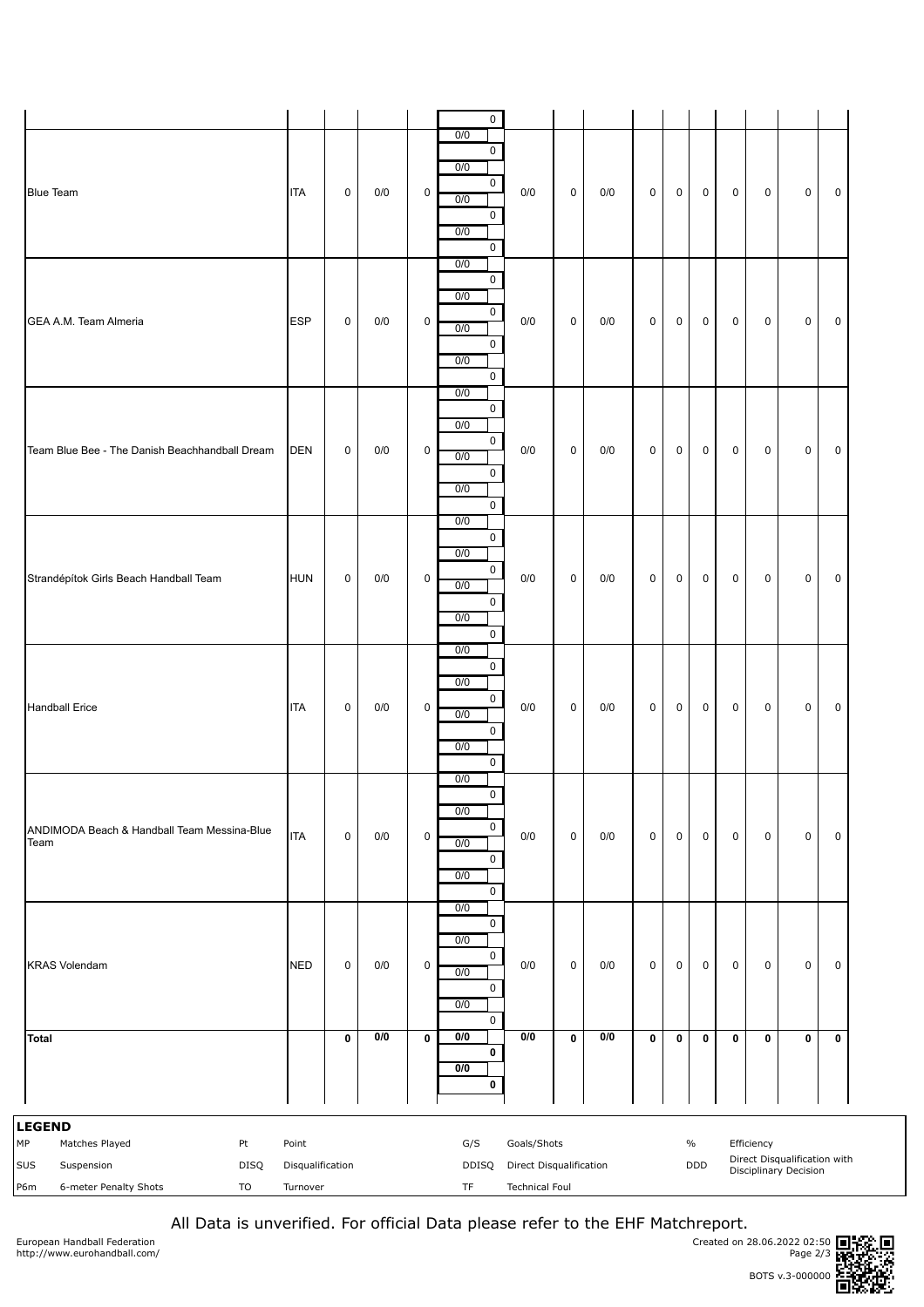|                                                                                                                |                                       |              |       |             | 0                                                                                       |                                                                 |           |       |             |              |                             |             |              |                                                              |             |
|----------------------------------------------------------------------------------------------------------------|---------------------------------------|--------------|-------|-------------|-----------------------------------------------------------------------------------------|-----------------------------------------------------------------|-----------|-------|-------------|--------------|-----------------------------|-------------|--------------|--------------------------------------------------------------|-------------|
| <b>Blue Team</b>                                                                                               | <b>ITA</b>                            | $\mathsf 0$  | 0/0   | $\mathsf 0$ | 0/0<br>$\mathsf{O}$<br>0/0<br>$\mathbf 0$<br>0/0<br>$\mathbf 0$<br>0/0<br>$\mathbf 0$   | 0/0                                                             | 0         | 0/0   | $\mathsf 0$ | $\mathsf 0$  | $\mathsf 0$                 | $\mathsf 0$ | $\mathsf 0$  | $\mathsf 0$                                                  | 0           |
| GEA A.M. Team Almeria                                                                                          | <b>ESP</b>                            | $\mathbf 0$  | 0/0   | $\mathbf 0$ | 0/0<br>0<br>0/0<br>0<br>0/0<br>$\mathbf 0$<br>0/0<br>$\mathsf{O}$                       | 0/0                                                             | 0         | 0/0   | 0           | $\mathsf{O}$ | $\mathbf 0$                 | $\mathsf 0$ | $\mathbf 0$  | 0                                                            | 0           |
| Team Blue Bee - The Danish Beachhandball Dream                                                                 | <b>DEN</b>                            | $\mathsf{O}$ | 0/0   | $\mathbf 0$ | 0/0<br>$\mathsf{O}$<br>0/0<br>$\mathsf{O}$<br>0/0<br>$\mathbf 0$<br>0/0<br>$\mathsf{O}$ | 0/0                                                             | 0         | 0/0   | 0           | $\mathbf 0$  | $\mathbf 0$                 | $\mathsf 0$ | $\mathbf 0$  | 0                                                            | $\mathbf 0$ |
| Strandépítok Girls Beach Handball Team                                                                         | <b>HUN</b>                            | $\mathsf{O}$ | $0/0$ | $\mathsf 0$ | 0/0<br>0<br>0/0<br>$\mathsf{O}$<br>0/0<br>$\mathbf 0$<br>0/0<br>$\mathsf{O}$            | 0/0                                                             | 0         | $0/0$ | 0           | $\mathbf 0$  | $\mathbf 0$                 | $\mathsf 0$ | $\mathbf 0$  | $\mathbf 0$                                                  | $\mathbf 0$ |
| <b>Handball Erice</b>                                                                                          | <b>ITA</b>                            | $\mathbf 0$  | 0/0   | 0           | 0/0<br>0<br>0/0<br>0<br>0/0<br>$\mathbf 0$<br>0/0<br>$\mathbf{0}$                       | 0/0                                                             | 0         | 0/0   | 0           | $\mathsf{O}$ | $\mathbf 0$                 | $\mathsf 0$ | $\mathsf{O}$ | $\mathbf 0$                                                  | 0           |
| ANDIMODA Beach & Handball Team Messina-Blue<br>Team                                                            | <b>ITA</b>                            | $\mathsf 0$  | 0/0   | $\pmb{0}$   | 0/0<br>$\mathbf 0$<br>0/0<br>0<br>0/0<br>0<br>0/0<br>0                                  | 0/0                                                             | $\pmb{0}$ | 0/0   | 0           | $\mathsf 0$  | $\mathsf 0$                 | $\pmb{0}$   | $\pmb{0}$    | 0                                                            | $\pmb{0}$   |
| <b>KRAS Volendam</b>                                                                                           | <b>NED</b>                            | $\pmb{0}$    | 0/0   | $\pmb{0}$   | 0/0<br>$\pmb{0}$<br>0/0<br>$\mathbf 0$<br>0/0<br>$\mathbf 0$<br>0/0<br>0                | 0/0                                                             | 0         | 0/0   | 0           | $\mathsf 0$  | $\pmb{0}$                   | $\pmb{0}$   | $\pmb{0}$    | 0                                                            | $\pmb{0}$   |
| <b>Total</b>                                                                                                   |                                       | $\bf{0}$     | 0/0   | $\mathbf 0$ | 0/0<br>0<br>0/0<br>0                                                                    | 0/0                                                             | $\pmb{0}$ | 0/0   | 0           | $\mathbf 0$  | $\pmb{0}$                   | $\bf{0}$    | $\pmb{0}$    | 0                                                            | $\mathbf 0$ |
| <b>LEGEND</b><br>МP<br>Pt<br>Matches Played<br>DISQ<br>SUS<br>Suspension<br>6-meter Penalty Shots<br>TO<br>P6m | Point<br>Disqualification<br>Turnover |              |       |             | G/S<br>DDISQ<br>TF                                                                      | Goals/Shots<br>Direct Disqualification<br><b>Technical Foul</b> |           |       |             |              | $\frac{0}{0}$<br><b>DDD</b> |             | Efficiency   | Direct Disqualification with<br><b>Disciplinary Decision</b> |             |

All Data is unverified. For official Data please refer to the EHF Matchreport.

European Handball Federation http://www.eurohandball.com/